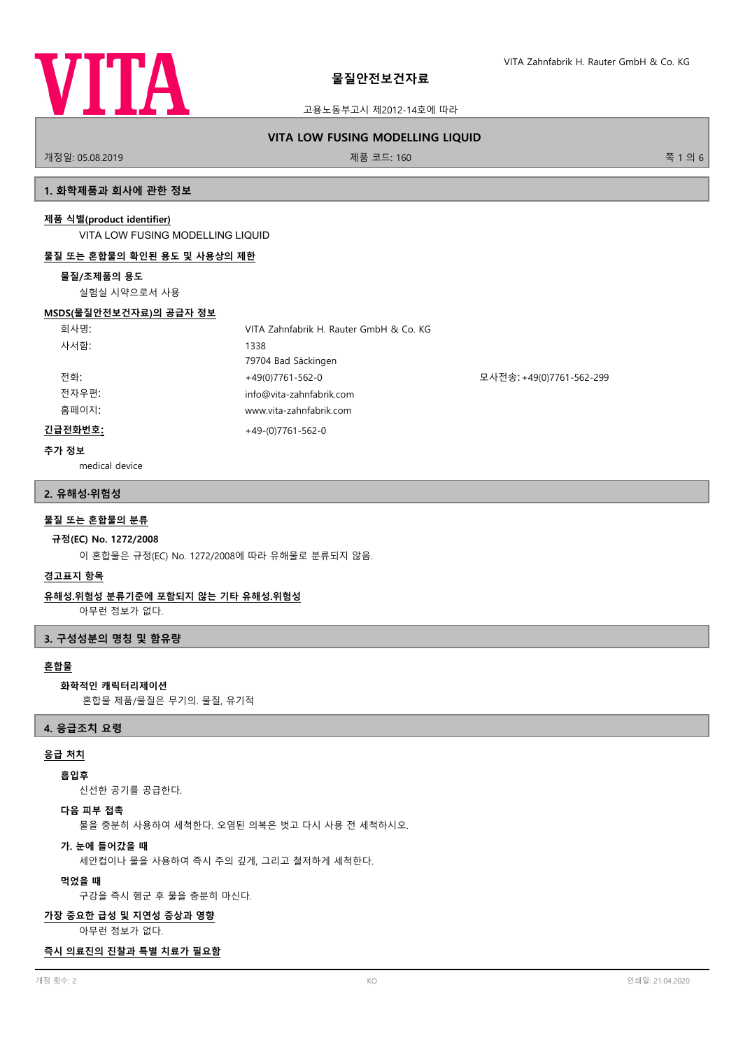

고용노동부고시 제2012-14호에 따라

# **VITA LOW FUSING MODELLING LIQUID**

개정일: 05.08.2019 제품 코드: 160 쪽 1 의 6

## **1. 화학제품과 회사에 관한 정보**

### **제품 식별(product identifier)**

VITA LOW FUSING MODELLING LIQUID

### **물질 또는 혼합물의 확인된 용도 및 사용상의 제한**

#### **물질/조제품의 용도**

실험실 시약으로서 사용

#### **MSDS(물질안전보건자료)의 공급자 정보**

| 회사명:    | VITA Zahnfabrik H. Rauter GmbH & Co. KG |                          |
|---------|-----------------------------------------|--------------------------|
| 사서함:    | 1338                                    |                          |
|         | 79704 Bad Säckingen                     |                          |
| 전화:     | +49(0)7761-562-0                        | 모사전송: +49(0)7761-562-299 |
| 전자우편:   | info@vita-zahnfabrik.com                |                          |
| 홈페이지:   | www.vita-zahnfabrik.com                 |                          |
| 긴급전화번호: | $+49-(0)7761-562-0$                     |                          |

## **추가 정보**

medical device

#### **2. 유해성·위험성**

### **물질 또는 혼합물의 분류**

#### **규정(EC) No. 1272/2008**

이 혼합물은 규정(EC) No. 1272/2008에 따라 유해물로 분류되지 않음.

### **경고표지 항목**

#### **유해성.위험성 분류기준에 포함되지 않는 기타 유해성.위험성**

아무런 정보가 없다.

### **3. 구성성분의 명칭 및 함유량**

## **혼합물**

#### **화학적인 캐릭터리제이션**

혼합물 제품/물질은 무기의. 물질, 유기적

#### **4. 응급조치 요령**

## **응급 처치**

### **흡입후**

신선한 공기를 공급한다.

## **다음 피부 접촉**

물을 충분히 사용하여 세척한다. 오염된 의복은 벗고 다시 사용 전 세척하시오.

#### **가. 눈에 들어갔을 때**

세안컵이나 물을 사용하여 즉시 주의 깊게, 그리고 철저하게 세척한다.

#### **먹었을 때**

구강을 즉시 헹군 후 물을 충분히 마신다.

#### **가장 중요한 급성 및 지연성 증상과 영향**

아무런 정보가 없다.

#### **즉시 의료진의 진찰과 특별 치료가 필요함**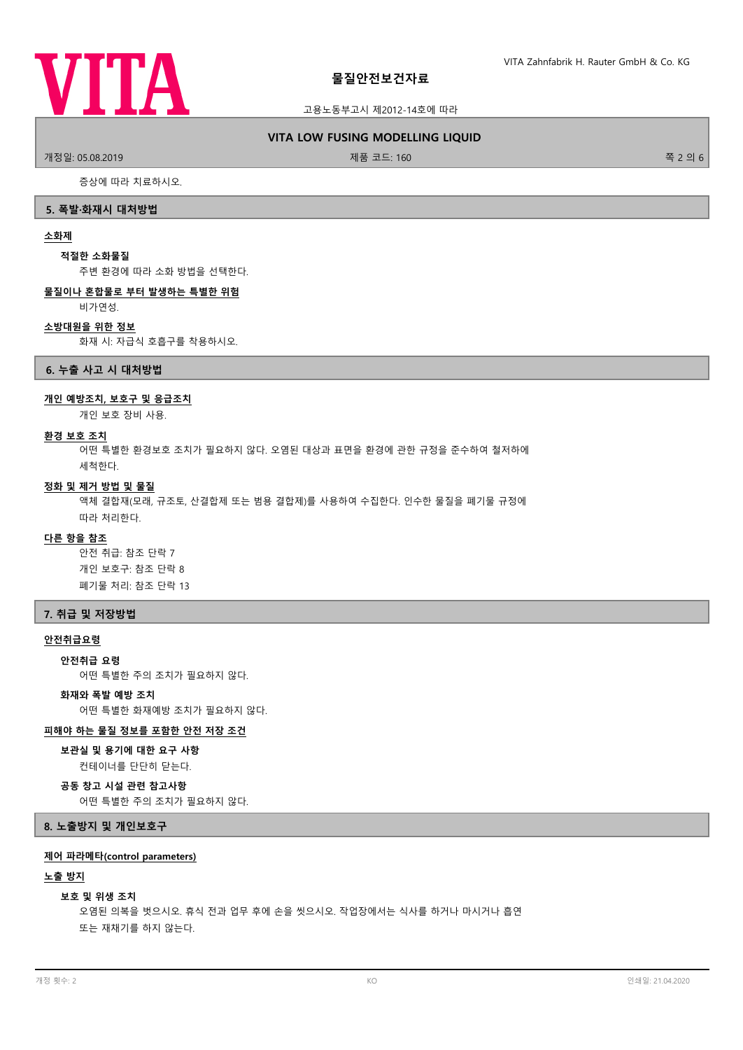

#### 고용노동부고시 제2012-14호에 따라

#### **VITA LOW FUSING MODELLING LIQUID**

.<br>개정일: 05.08.2019 제품 프로그램을 제공하는 것이 제품 코드: 160 % 제품 코드: 160 % 제품 코드: 160 % 제품 기능 기능 기능 기능 기능 기능 기능 및 기능 및 기능 및 기능

증상에 따라 치료하시오.

#### **5. 폭발·화재시 대처방법**

#### **소화제**

#### **적절한 소화물질**

주변 환경에 따라 소화 방법을 선택한다.

#### **물질이나 혼합물로 부터 발생하는 특별한 위험**

비가연성.

#### **소방대원을 위한 정보**

화재 시: 자급식 호흡구를 착용하시오.

#### **6. 누출 사고 시 대처방법**

#### **개인 예방조치, 보호구 및 응급조치**

개인 보호 장비 사용.

#### **환경 보호 조치**

어떤 특별한 환경보호 조치가 필요하지 않다. 오염된 대상과 표면을 환경에 관한 규정을 준수하여 철저하에 세척한다.

#### **정화 및 제거 방법 및 물질**

액체 결합재(모래, 규조토, 산결합제 또는 범용 결합제)를 사용하여 수집한다. 인수한 물질을 폐기물 규정에 따라 처리한다.

#### **다른 항을 참조**

안전 취급: 참조 단락 7 개인 보호구: 참조 단락 8 폐기물 처리: 참조 단락 13

## **7. 취급 및 저장방법**

#### **안전취급요령**

**안전취급 요령**

어떤 특별한 주의 조치가 필요하지 않다.

## **화재와 폭발 예방 조치**

어떤 특별한 화재예방 조치가 필요하지 않다.

#### **피해야 하는 물질 정보를 포함한 안전 저장 조건**

### **보관실 및 용기에 대한 요구 사항**

컨테이너를 단단히 닫는다.

# **공동 창고 시설 관련 참고사항**

어떤 특별한 주의 조치가 필요하지 않다.

## **8. 노출방지 및 개인보호구**

#### **제어 파라메타(control parameters)**

#### **노출 방지**

#### **보호 및 위생 조치**

오염된 의복을 벗으시오. 휴식 전과 업무 후에 손을 씻으시오. 작업장에서는 식사를 하거나 마시거나 흡연 또는 재채기를 하지 않는다.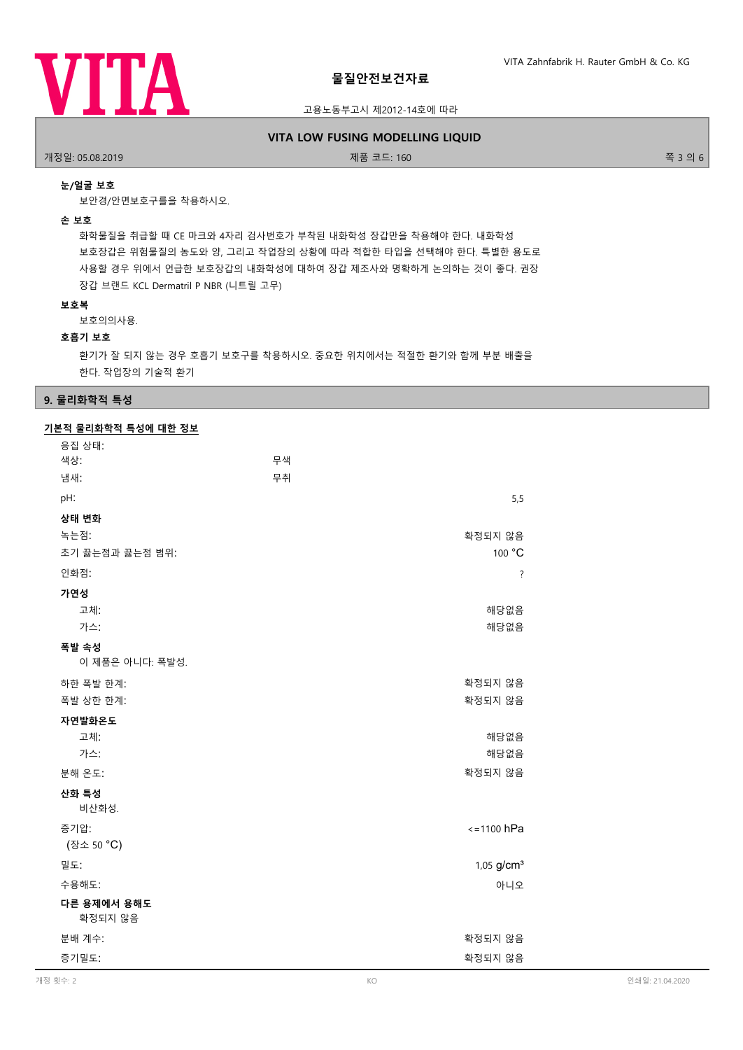

#### 고용노동부고시 제2012-14호에 따라

### **VITA LOW FUSING MODELLING LIQUID**

개정일: 05.08.2019 제품 코드: 160 쪽 3 의 6

## **눈/얼굴 보호**

보안경/안면보호구를을 착용하시오.

#### **손 보호**

화학물질을 취급할 때 CE 마크와 4자리 검사번호가 부착된 내화학성 장갑만을 착용해야 한다. 내화학성 보호장갑은 위험물질의 농도와 양, 그리고 작업장의 상황에 따라 적합한 타입을 선택해야 한다. 특별한 용도로 사용할 경우 위에서 언급한 보호장갑의 내화학성에 대하여 장갑 제조사와 명확하게 논의하는 것이 좋다. 권장 장갑 브랜드 KCL Dermatril P NBR (니트릴 고무)

#### **보호복**

보호의의사용.

#### **호흡기 보호**

환기가 잘 되지 않는 경우 호흡기 보호구를 착용하시오. 중요한 위치에서는 적절한 환기와 함께 부분 배출을 한다. 작업장의 기술적 환기

### **9. 물리화학적 특성**

## **기본적 물리화학적 특성에 대한 정보**

| 응집 상태:<br>색상:            | 무색 |                        |
|--------------------------|----|------------------------|
| 냄새:                      | 무취 |                        |
| pH:                      |    | 5,5                    |
| 상태 변화                    |    |                        |
| 녹는점:                     |    | 확정되지 않음                |
| 초기 끓는점과 끓는점 범위:          |    | 100 °C                 |
| 인화점:                     |    | $\ddot{?}$             |
| 가연성                      |    |                        |
| 고체:                      |    | 해당없음                   |
| 가스:                      |    | 해당없음                   |
| 폭발 속성<br>이 제품은 아니다: 폭발성. |    |                        |
| 하한 폭발 한계:                |    | 확정되지 않음                |
| 폭발 상한 한계:                |    | 확정되지 않음                |
| 자연발화온도                   |    |                        |
| 고체:                      |    | 해당없음                   |
| 가스:                      |    | 해당없음                   |
| 분해 온도:                   |    | 확정되지 않음                |
| 산화 특성<br>비산화성.           |    |                        |
| 증기압:                     |    | $\le$ =1100 hPa        |
| (장소 50 °C)               |    |                        |
| 밀도:                      |    | 1,05 g/cm <sup>3</sup> |
| 수용해도:                    |    | 아니오                    |
| 다른 용제에서 용해도              |    |                        |
| 확정되지 않음                  |    |                        |
| 분배 계수:                   |    | 확정되지 않음                |
| 증기밀도:                    |    | 확정되지 않음                |
|                          |    |                        |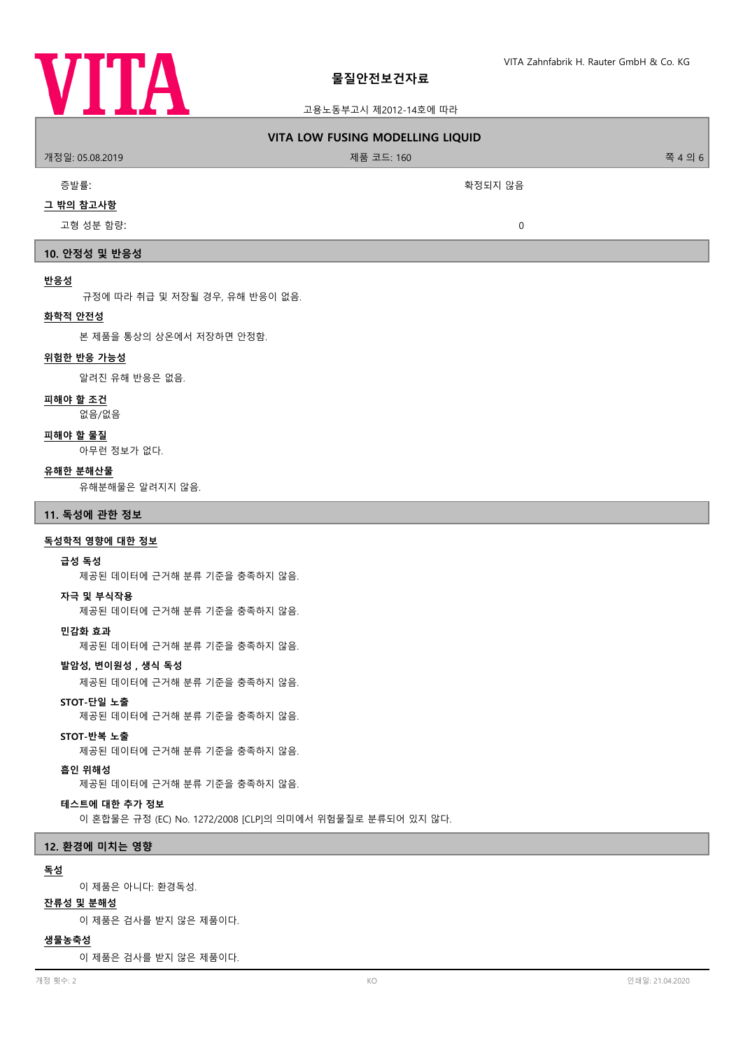

## 고용노동부고시 제2012-14호에 따라

| 개정일: 05.08.2019                                  | <b>VITA LOW FUSING MODELLING LIQUID</b><br>제품 코드: 160      | 쪽 4 의 6         |
|--------------------------------------------------|------------------------------------------------------------|-----------------|
| 증발률:                                             | 확정되지 않음                                                    |                 |
| 그 밖의 참고사항                                        |                                                            |                 |
| 고형 성분 함량:                                        | $\mathbf 0$                                                |                 |
| 10. 안정성 및 반응성                                    |                                                            |                 |
| 반응성                                              |                                                            |                 |
| 규정에 따라 취급 및 저장될 경우, 유해 반응이 없음.                   |                                                            |                 |
| 화학적 안전성<br>본 제품을 통상의 상온에서 저장하면 안정함.              |                                                            |                 |
| 위험한 반응 가능성                                       |                                                            |                 |
| 알려진 유해 반응은 없음.                                   |                                                            |                 |
| 피해야 할 조건                                         |                                                            |                 |
| 없음/없음                                            |                                                            |                 |
| 피해야 할 물질<br>아무런 정보가 없다.                          |                                                            |                 |
| 유해한 분해산물                                         |                                                            |                 |
| 유해분해물은 알려지지 않음.                                  |                                                            |                 |
| 11. 독성에 관한 정보                                    |                                                            |                 |
| 독성학적 영향에 대한 정보                                   |                                                            |                 |
| 급성 독성<br>제공된 데이터에 근거해 분류 기준을 충족하지 않음.            |                                                            |                 |
| 자극 및 부식작용<br>제공된 데이터에 근거해 분류 기준을 충족하지 않음.        |                                                            |                 |
| 민감화 효과<br>제공된 데이터에 근거해 분류 기준을 충족하지 않음.           |                                                            |                 |
| 발암성, 변이원성, 생식 독성<br>제공된 데이터에 근거해 분류 기준을 충족하지 않음. |                                                            |                 |
| STOT-단일 노출<br>제공된 데이터에 근거해 분류 기준을 충족하지 않음.       |                                                            |                 |
| STOT-반복 노출<br>제공된 데이터에 근거해 분류 기준을 충족하지 않음.       |                                                            |                 |
| 흡인 위해성<br>제공된 데이터에 근거해 분류 기준을 충족하지 않음.           |                                                            |                 |
| 테스트에 대한 추가 정보                                    | 이 혼합물은 규정 (EC) No. 1272/2008 [CLP]의 의미에서 위험물질로 분류되어 있지 않다. |                 |
| 12. 환경에 미치는 영향                                   |                                                            |                 |
| 독성                                               |                                                            |                 |
| 이 제품은 아니다: 환경독성.                                 |                                                            |                 |
| <u> 잔류성 및 분해성</u><br>이 제품은 검사를 받지 않은 제품이다.       |                                                            |                 |
| 생물농축성                                            |                                                            |                 |
| 이 제품은 검사를 받지 않은 제품이다.                            |                                                            |                 |
| 개정 횟수: 2                                         | KO                                                         | 인쇄일: 21.04.2020 |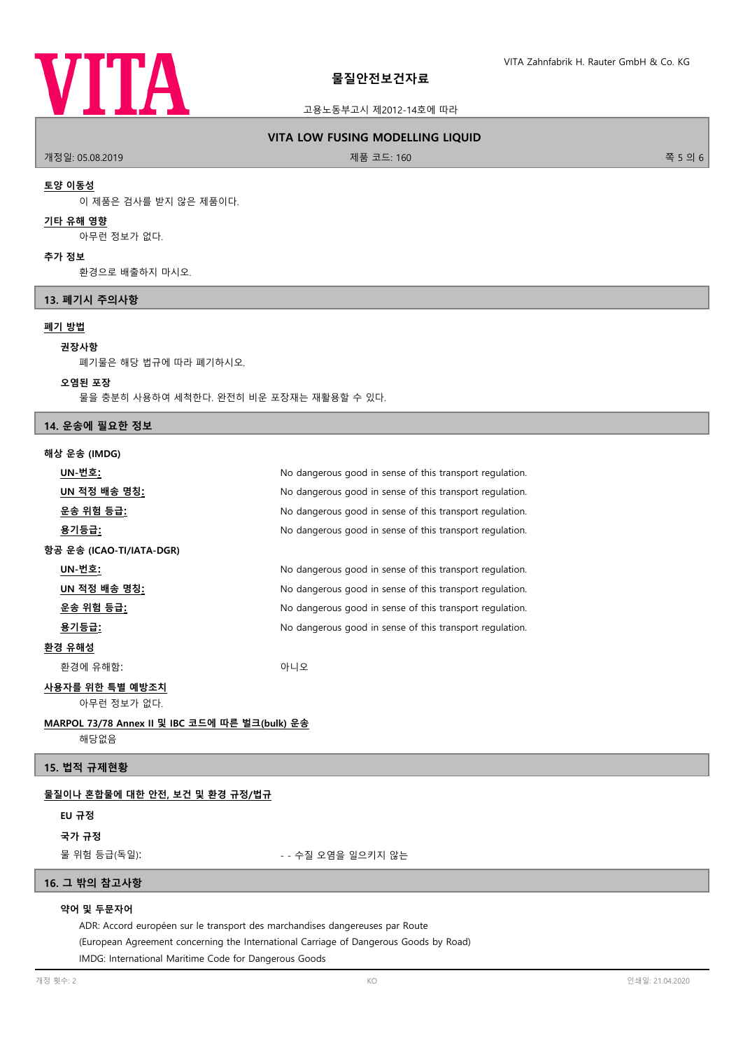

#### 고용노동부고시 제2012-14호에 따라

### **VITA LOW FUSING MODELLING LIQUID**

개정일: 05.08.2019 제품 코드: 160 쪽 5 의 6

#### **토양 이동성**

이 제품은 검사를 받지 않은 제품이다.

## **기타 유해 영향**

아무런 정보가 없다.

#### **추가 정보**

환경으로 배출하지 마시오.

#### **13. 폐기시 주의사항**

### **폐기 방법**

#### **권장사항**

폐기물은 해당 법규에 따라 폐기하시오.

#### **오염된 포장**

물을 충분히 사용하여 세척한다. 완전히 비운 포장재는 재활용할 수 있다.

### **14. 운송에 필요한 정보**

#### **해상 운송 (IMDG)**

| UN-번호:                         | No dangerous good in sense of this transport regulation. |
|--------------------------------|----------------------------------------------------------|
| UN 적정 배송 명칭 <u>:</u>           | No dangerous good in sense of this transport regulation. |
| 운송 위험 등급 <u>:</u>              | No dangerous good in sense of this transport regulation. |
| 용기등급 <u>:</u>                  | No dangerous good in sense of this transport regulation. |
| 항공 운송 (ICAO-TI/IATA-DGR)       |                                                          |
| UN-번호:                         | No dangerous good in sense of this transport regulation. |
| <u>UN 적정 배송 명칭:</u>            | No dangerous good in sense of this transport regulation. |
| <u>운송 위험 등급:</u>               | No dangerous good in sense of this transport regulation. |
| 용기등급:                          | No dangerous good in sense of this transport regulation. |
| 환경 유해성                         |                                                          |
| 환경에 유해함:                       | 아니오                                                      |
| 사용자를 위한 특별 예방조치<br>아무런 정보가 없다. |                                                          |
|                                |                                                          |

# **MARPOL 73/78 Annex II 및 IBC 코드에 따른 벌크(bulk) 운송**

해당없음

## **15. 법적 규제현황**

#### **물질이나 혼합물에 대한 안전, 보건 및 환경 규정/법규**

#### **EU 규정**

**국가 규정**

물 위험 등급(독일): - - - - - - - 수질 오염을 일으키지 않는

## **16. 그 밖의 참고사항**

### **약어 및 두문자어**

ADR: Accord européen sur le transport des marchandises dangereuses par Route (European Agreement concerning the International Carriage of Dangerous Goods by Road) IMDG: International Maritime Code for Dangerous Goods